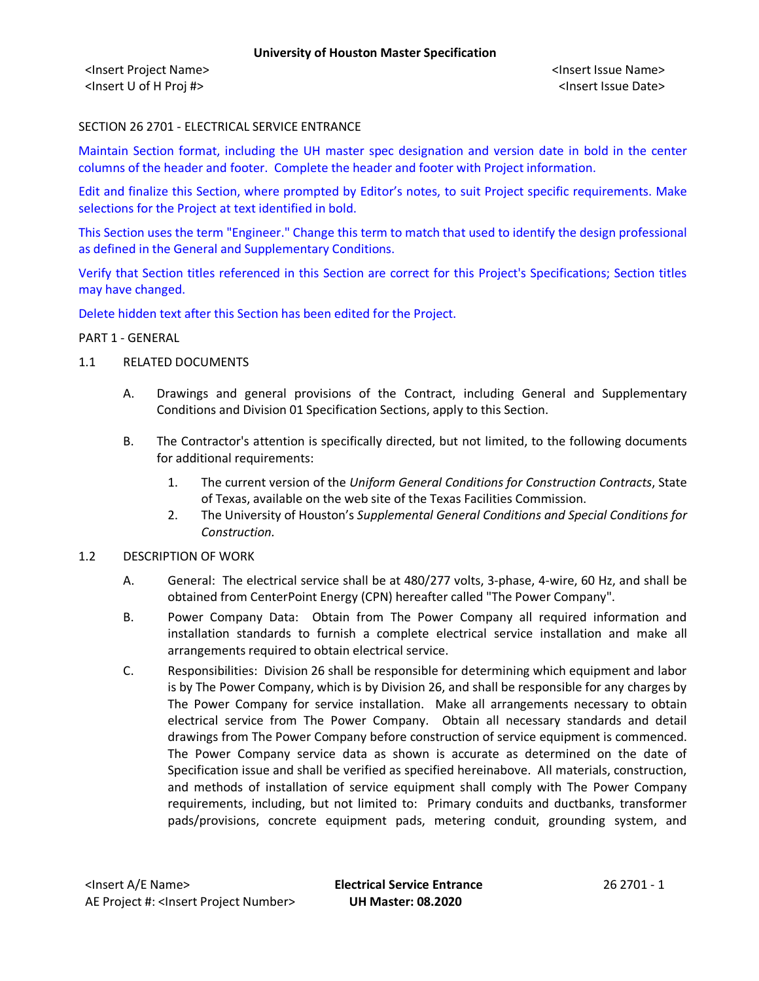<Insert Project Name> <Insert Issue Name> <Insert U of H Proj #> <Insert Issue Date>

## SECTION 26 2701 - ELECTRICAL SERVICE ENTRANCE

Maintain Section format, including the UH master spec designation and version date in bold in the center columns of the header and footer. Complete the header and footer with Project information.

Edit and finalize this Section, where prompted by Editor's notes, to suit Project specific requirements. Make selections for the Project at text identified in bold.

This Section uses the term "Engineer." Change this term to match that used to identify the design professional as defined in the General and Supplementary Conditions.

Verify that Section titles referenced in this Section are correct for this Project's Specifications; Section titles may have changed.

Delete hidden text after this Section has been edited for the Project.

#### PART 1 - GENERAL

- 1.1 RELATED DOCUMENTS
	- A. Drawings and general provisions of the Contract, including General and Supplementary Conditions and Division 01 Specification Sections, apply to this Section.
	- B. The Contractor's attention is specifically directed, but not limited, to the following documents for additional requirements:
		- 1. The current version of the *Uniform General Conditions for Construction Contracts*, State of Texas, available on the web site of the Texas Facilities Commission.
		- 2. The University of Houston's *Supplemental General Conditions and Special Conditions for Construction.*
- 1.2 DESCRIPTION OF WORK
	- A. General: The electrical service shall be at 480/277 volts, 3-phase, 4-wire, 60 Hz, and shall be obtained from CenterPoint Energy (CPN) hereafter called "The Power Company".
	- B. Power Company Data: Obtain from The Power Company all required information and installation standards to furnish a complete electrical service installation and make all arrangements required to obtain electrical service.
	- C. Responsibilities: Division 26 shall be responsible for determining which equipment and labor is by The Power Company, which is by Division 26, and shall be responsible for any charges by The Power Company for service installation. Make all arrangements necessary to obtain electrical service from The Power Company. Obtain all necessary standards and detail drawings from The Power Company before construction of service equipment is commenced. The Power Company service data as shown is accurate as determined on the date of Specification issue and shall be verified as specified hereinabove. All materials, construction, and methods of installation of service equipment shall comply with The Power Company requirements, including, but not limited to: Primary conduits and ductbanks, transformer pads/provisions, concrete equipment pads, metering conduit, grounding system, and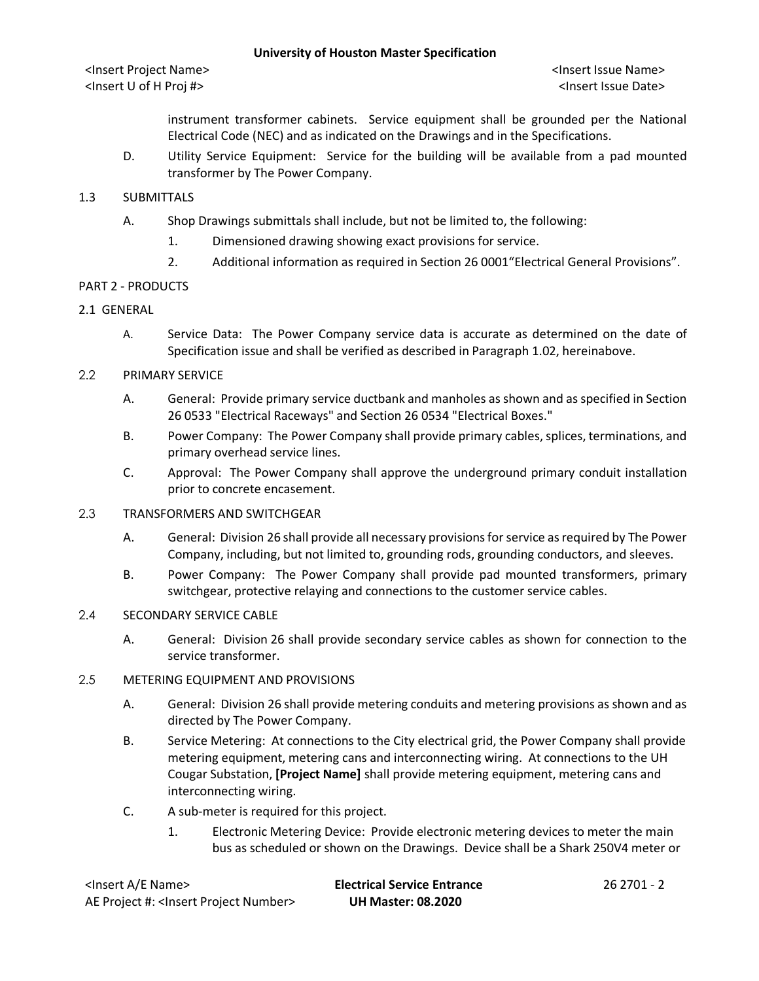## **University of Houston Master Specification**

instrument transformer cabinets. Service equipment shall be grounded per the National Electrical Code (NEC) and as indicated on the Drawings and in the Specifications.

D. Utility Service Equipment: Service for the building will be available from a pad mounted transformer by The Power Company.

## 1.3 SUBMITTALS

- A. Shop Drawings submittals shall include, but not be limited to, the following:
	- 1. Dimensioned drawing showing exact provisions for service.
	- 2. Additional information as required in Section 26 0001"Electrical General Provisions".

## PART 2 - PRODUCTS

## 2.1 GENERAL

A. Service Data: The Power Company service data is accurate as determined on the date of Specification issue and shall be verified as described in Paragraph 1.02, hereinabove.

## 2.2 PRIMARY SERVICE

- A. General: Provide primary service ductbank and manholes as shown and as specified in Section 26 0533 "Electrical Raceways" and Section 26 0534 "Electrical Boxes."
- B. Power Company: The Power Company shall provide primary cables, splices, terminations, and primary overhead service lines.
- C. Approval: The Power Company shall approve the underground primary conduit installation prior to concrete encasement.

#### 2.3 TRANSFORMERS AND SWITCHGEAR

- A. General: Division 26 shall provide all necessary provisions for service as required by The Power Company, including, but not limited to, grounding rods, grounding conductors, and sleeves.
- B. Power Company: The Power Company shall provide pad mounted transformers, primary switchgear, protective relaying and connections to the customer service cables.

## 2.4 SECONDARY SERVICE CABLE

A. General: Division 26 shall provide secondary service cables as shown for connection to the service transformer.

## 2.5 METERING EQUIPMENT AND PROVISIONS

- A. General: Division 26 shall provide metering conduits and metering provisions as shown and as directed by The Power Company.
- B. Service Metering: At connections to the City electrical grid, the Power Company shall provide metering equipment, metering cans and interconnecting wiring. At connections to the UH Cougar Substation, **[Project Name]** shall provide metering equipment, metering cans and interconnecting wiring.
- C. A sub-meter is required for this project.
	- 1. Electronic Metering Device: Provide electronic metering devices to meter the main bus as scheduled or shown on the Drawings. Device shall be a Shark 250V4 meter or

| <lnsert a="" e="" name=""></lnsert>                  | <b>Electrical Service Entrance</b> | 26 2701 - 2 |
|------------------------------------------------------|------------------------------------|-------------|
| AE Project #: <lnsert number="" project=""></lnsert> | <b>UH Master: 08.2020</b>          |             |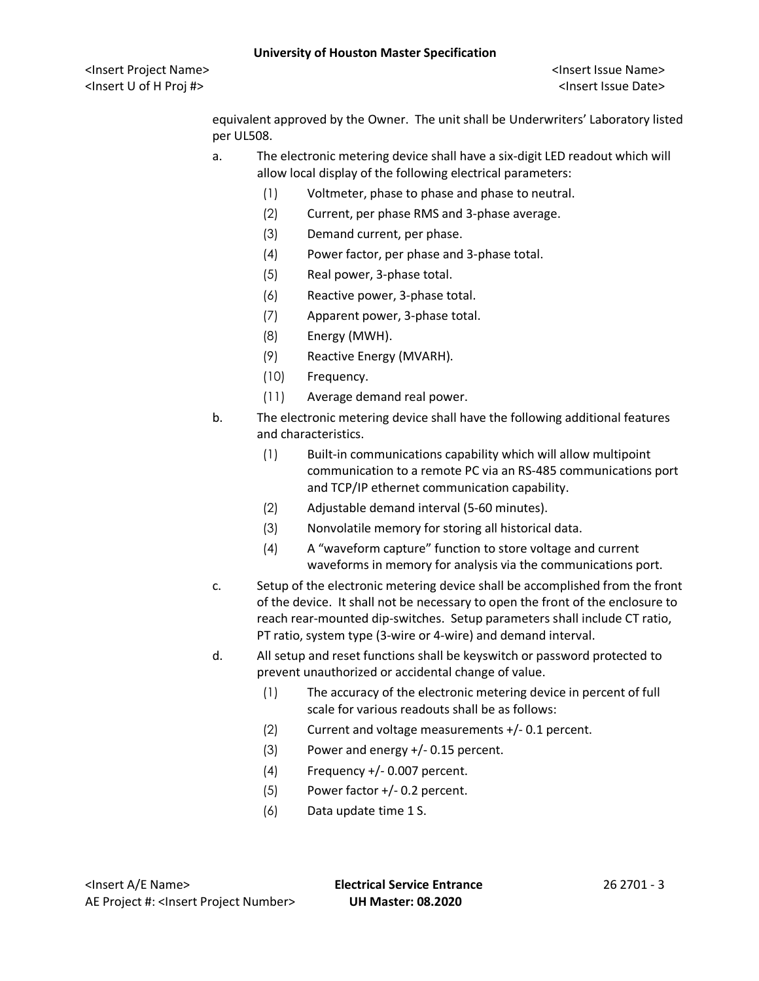equivalent approved by the Owner. The unit shall be Underwriters' Laboratory listed per UL508.

- a. The electronic metering device shall have a six-digit LED readout which will allow local display of the following electrical parameters:
	- (1) Voltmeter, phase to phase and phase to neutral.
	- (2) Current, per phase RMS and 3-phase average.
	- (3) Demand current, per phase.
	- (4) Power factor, per phase and 3-phase total.
	- (5) Real power, 3-phase total.
	- (6) Reactive power, 3-phase total.
	- (7) Apparent power, 3-phase total.
	- (8) Energy (MWH).
	- (9) Reactive Energy (MVARH).
	- (10) Frequency.
	- (11) Average demand real power.
- b. The electronic metering device shall have the following additional features and characteristics.
	- (1) Built-in communications capability which will allow multipoint communication to a remote PC via an RS-485 communications port and TCP/IP ethernet communication capability.
	- (2) Adjustable demand interval (5-60 minutes).
	- (3) Nonvolatile memory for storing all historical data.
	- (4) A "waveform capture" function to store voltage and current waveforms in memory for analysis via the communications port.
- c. Setup of the electronic metering device shall be accomplished from the front of the device. It shall not be necessary to open the front of the enclosure to reach rear-mounted dip-switches. Setup parameters shall include CT ratio, PT ratio, system type (3-wire or 4-wire) and demand interval.
- d. All setup and reset functions shall be keyswitch or password protected to prevent unauthorized or accidental change of value.
	- (1) The accuracy of the electronic metering device in percent of full scale for various readouts shall be as follows:
	- (2) Current and voltage measurements +/- 0.1 percent.
	- (3) Power and energy +/- 0.15 percent.
	- (4) Frequency +/- 0.007 percent.
	- (5) Power factor +/- 0.2 percent.
	- (6) Data update time 1 S.